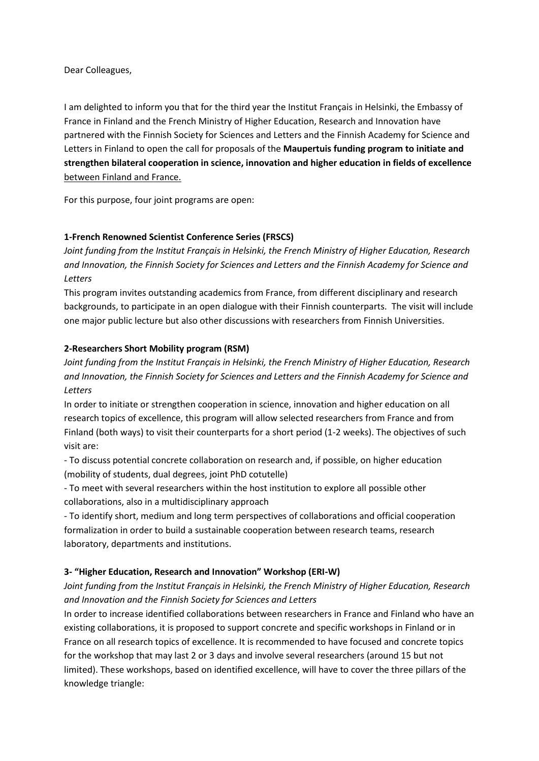Dear Colleagues,

I am delighted to inform you that for the third year the Institut Français in Helsinki, the Embassy of France in Finland and the French Ministry of Higher Education, Research and Innovation have partnered with the Finnish Society for Sciences and Letters and the Finnish Academy for Science and Letters in Finland to open the call for proposals of the **Maupertuis funding program to initiate and strengthen bilateral cooperation in science, innovation and higher education in fields of excellence** between Finland and France.

For this purpose, four joint programs are open:

# **1-French Renowned Scientist Conference Series (FRSCS)**

*Joint funding from the Institut Français in Helsinki, the French Ministry of Higher Education, Research and Innovation, the Finnish Society for Sciences and Letters and the Finnish Academy for Science and Letters*

This program invites outstanding academics from France, from different disciplinary and research backgrounds, to participate in an open dialogue with their Finnish counterparts. The visit will include one major public lecture but also other discussions with researchers from Finnish Universities.

## **2-Researchers Short Mobility program (RSM)**

*Joint funding from the Institut Français in Helsinki, the French Ministry of Higher Education, Research and Innovation, the Finnish Society for Sciences and Letters and the Finnish Academy for Science and Letters*

In order to initiate or strengthen cooperation in science, innovation and higher education on all research topics of excellence, this program will allow selected researchers from France and from Finland (both ways) to visit their counterparts for a short period (1-2 weeks). The objectives of such visit are:

- To discuss potential concrete collaboration on research and, if possible, on higher education (mobility of students, dual degrees, joint PhD cotutelle)

- To meet with several researchers within the host institution to explore all possible other collaborations, also in a multidisciplinary approach

- To identify short, medium and long term perspectives of collaborations and official cooperation formalization in order to build a sustainable cooperation between research teams, research laboratory, departments and institutions.

## **3- "Higher Education, Research and Innovation" Workshop (ERI-W)**

*Joint funding from the Institut Français in Helsinki, the French Ministry of Higher Education, Research and Innovation and the Finnish Society for Sciences and Letters*

In order to increase identified collaborations between researchers in France and Finland who have an existing collaborations, it is proposed to support concrete and specific workshops in Finland or in France on all research topics of excellence. It is recommended to have focused and concrete topics for the workshop that may last 2 or 3 days and involve several researchers (around 15 but not limited). These workshops, based on identified excellence, will have to cover the three pillars of the knowledge triangle: